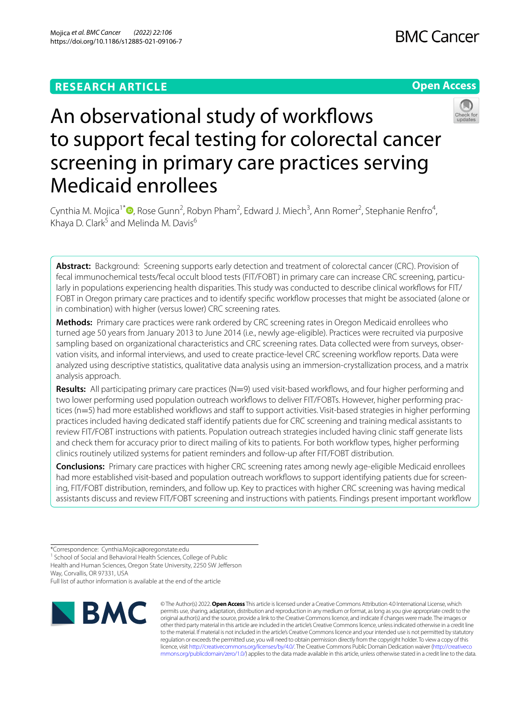# **RESEARCH ARTICLE**





# An observational study of workflows to support fecal testing for colorectal cancer screening in primary care practices serving Medicaid enrollees

Cynthia M. Mojica<sup>1\*</sup><sup>®</sup>[,](http://orcid.org/0000-0002-7787-0747) Rose Gunn<sup>2</sup>, Robyn Pham<sup>2</sup>, Edward J. Miech<sup>3</sup>, Ann Romer<sup>2</sup>, Stephanie Renfro<sup>4</sup>, Khaya D. Clark<sup>5</sup> and Melinda M. Davis<sup>6</sup>

**Abstract:** Background: Screening supports early detection and treatment of colorectal cancer (CRC). Provision of fecal immunochemical tests/fecal occult blood tests (FIT/FOBT) in primary care can increase CRC screening, particularly in populations experiencing health disparities. This study was conducted to describe clinical workflows for FIT/ FOBT in Oregon primary care practices and to identify specifc workfow processes that might be associated (alone or in combination) with higher (versus lower) CRC screening rates.

**Methods:** Primary care practices were rank ordered by CRC screening rates in Oregon Medicaid enrollees who turned age 50 years from January 2013 to June 2014 (i.e., newly age-eligible). Practices were recruited via purposive sampling based on organizational characteristics and CRC screening rates. Data collected were from surveys, observation visits, and informal interviews, and used to create practice-level CRC screening workfow reports. Data were analyzed using descriptive statistics, qualitative data analysis using an immersion-crystallization process, and a matrix analysis approach.

**Results:** All participating primary care practices (N=9) used visit-based workflows, and four higher performing and two lower performing used population outreach workfows to deliver FIT/FOBTs. However, higher performing practices (n=5) had more established workflows and staff to support activities. Visit-based strategies in higher performing practices included having dedicated staff identify patients due for CRC screening and training medical assistants to review FIT/FOBT instructions with patients. Population outreach strategies included having clinic staff generate lists and check them for accuracy prior to direct mailing of kits to patients. For both workflow types, higher performing clinics routinely utilized systems for patient reminders and follow-up after FIT/FOBT distribution.

**Conclusions:** Primary care practices with higher CRC screening rates among newly age-eligible Medicaid enrollees had more established visit-based and population outreach workflows to support identifying patients due for screening, FIT/FOBT distribution, reminders, and follow up. Key to practices with higher CRC screening was having medical assistants discuss and review FIT/FOBT screening and instructions with patients. Findings present important workfow

<sup>1</sup> School of Social and Behavioral Health Sciences, College of Public

Health and Human Sciences, Oregon State University, 2250 SW Jeferson Way, Corvallis, OR 97331, USA

Full list of author information is available at the end of the article



© The Author(s) 2022. **Open Access** This article is licensed under a Creative Commons Attribution 4.0 International License, which permits use, sharing, adaptation, distribution and reproduction in any medium or format, as long as you give appropriate credit to the original author(s) and the source, provide a link to the Creative Commons licence, and indicate if changes were made. The images or other third party material in this article are included in the article's Creative Commons licence, unless indicated otherwise in a credit line to the material. If material is not included in the article's Creative Commons licence and your intended use is not permitted by statutory regulation or exceeds the permitted use, you will need to obtain permission directly from the copyright holder. To view a copy of this licence, visit [http://creativecommons.org/licenses/by/4.0/.](http://creativecommons.org/licenses/by/4.0/) The Creative Commons Public Domain Dedication waiver ([http://creativeco](http://creativecommons.org/publicdomain/zero/1.0/) [mmons.org/publicdomain/zero/1.0/](http://creativecommons.org/publicdomain/zero/1.0/)) applies to the data made available in this article, unless otherwise stated in a credit line to the data.

<sup>\*</sup>Correspondence: Cynthia.Mojica@oregonstate.edu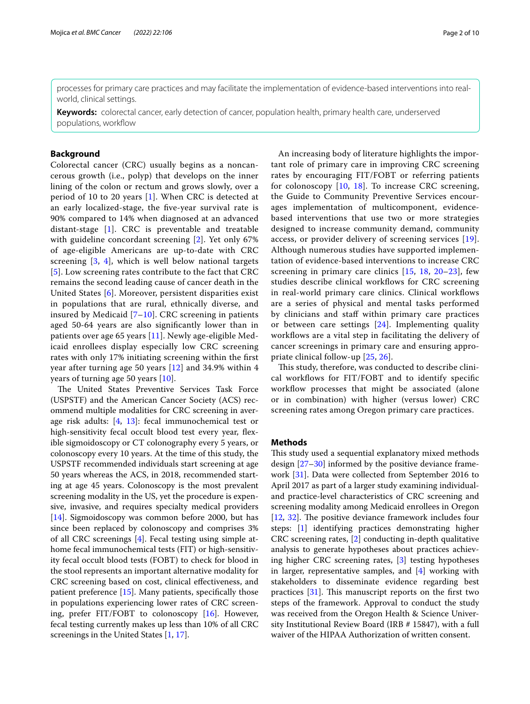processes for primary care practices and may facilitate the implementation of evidence-based interventions into realworld, clinical settings.

**Keywords:** colorectal cancer, early detection of cancer, population health, primary health care, underserved populations, workflow

# **Background**

Colorectal cancer (CRC) usually begins as a noncancerous growth (i.e., polyp) that develops on the inner lining of the colon or rectum and grows slowly, over a period of 10 to 20 years [[1\]](#page-8-0). When CRC is detected at an early localized-stage, the fve-year survival rate is 90% compared to 14% when diagnosed at an advanced distant-stage [\[1](#page-8-0)]. CRC is preventable and treatable with guideline concordant screening [\[2\]](#page-8-1). Yet only 67% of age-eligible Americans are up-to-date with CRC screening [[3,](#page-8-2) [4\]](#page-8-3), which is well below national targets [[5](#page-8-4)]. Low screening rates contribute to the fact that CRC remains the second leading cause of cancer death in the United States [[6](#page-8-5)]. Moreover, persistent disparities exist in populations that are rural, ethnically diverse, and insured by Medicaid [[7–](#page-8-6)[10\]](#page-8-7). CRC screening in patients aged 50-64 years are also signifcantly lower than in patients over age 65 years [[11\]](#page-8-8). Newly age-eligible Medicaid enrollees display especially low CRC screening rates with only 17% initiating screening within the frst year after turning age 50 years [[12\]](#page-8-9) and 34.9% within 4 years of turning age 50 years [\[10](#page-8-7)].

The United States Preventive Services Task Force (USPSTF) and the American Cancer Society (ACS) recommend multiple modalities for CRC screening in average risk adults: [\[4](#page-8-3), [13\]](#page-8-10): fecal immunochemical test or high-sensitivity fecal occult blood test every year, flexible sigmoidoscopy or CT colonography every 5 years, or colonoscopy every 10 years. At the time of this study, the USPSTF recommended individuals start screening at age 50 years whereas the ACS, in 2018, recommended starting at age 45 years. Colonoscopy is the most prevalent screening modality in the US, yet the procedure is expensive, invasive, and requires specialty medical providers [[14\]](#page-8-11). Sigmoidoscopy was common before 2000, but has since been replaced by colonoscopy and comprises 3% of all CRC screenings [\[4](#page-8-3)]. Fecal testing using simple athome fecal immunochemical tests (FIT) or high-sensitivity fecal occult blood tests (FOBT) to check for blood in the stool represents an important alternative modality for CRC screening based on cost, clinical efectiveness, and patient preference [[15\]](#page-8-12). Many patients, specifcally those in populations experiencing lower rates of CRC screening, prefer FIT/FOBT to colonoscopy [\[16](#page-8-13)]. However, fecal testing currently makes up less than 10% of all CRC screenings in the United States [\[1](#page-8-0), [17](#page-8-14)].

An increasing body of literature highlights the important role of primary care in improving CRC screening rates by encouraging FIT/FOBT or referring patients for colonoscopy  $[10, 18]$  $[10, 18]$  $[10, 18]$  $[10, 18]$ . To increase CRC screening, the Guide to Community Preventive Services encourages implementation of multicomponent, evidencebased interventions that use two or more strategies designed to increase community demand, community access, or provider delivery of screening services [[19](#page-8-16)]. Although numerous studies have supported implementation of evidence-based interventions to increase CRC screening in primary care clinics [\[15](#page-8-12), [18,](#page-8-15) [20](#page-8-17)–[23](#page-8-18)], few studies describe clinical workflows for CRC screening in real-world primary care clinics. Clinical workfows are a series of physical and mental tasks performed by clinicians and staf within primary care practices or between care settings  $[24]$  $[24]$  $[24]$ . Implementing quality workflows are a vital step in facilitating the delivery of cancer screenings in primary care and ensuring appropriate clinical follow-up [\[25](#page-9-1), [26](#page-9-2)].

This study, therefore, was conducted to describe clinical workflows for FIT/FOBT and to identify specific workflow processes that might be associated (alone or in combination) with higher (versus lower) CRC screening rates among Oregon primary care practices.

# **Methods**

This study used a sequential explanatory mixed methods design [\[27](#page-9-3)–[30\]](#page-9-4) informed by the positive deviance framework [[31\]](#page-9-5). Data were collected from September 2016 to April 2017 as part of a larger study examining individualand practice-level characteristics of CRC screening and screening modality among Medicaid enrollees in Oregon  $[12, 32]$  $[12, 32]$  $[12, 32]$  $[12, 32]$  $[12, 32]$ . The positive deviance framework includes four steps: [\[1](#page-8-0)] identifying practices demonstrating higher CRC screening rates, [[2\]](#page-8-1) conducting in-depth qualitative analysis to generate hypotheses about practices achieving higher CRC screening rates, [[3\]](#page-8-2) testing hypotheses in larger, representative samples, and [\[4](#page-8-3)] working with stakeholders to disseminate evidence regarding best practices  $[31]$  $[31]$ . This manuscript reports on the first two steps of the framework. Approval to conduct the study was received from the Oregon Health & Science University Institutional Review Board (IRB # 15847), with a full waiver of the HIPAA Authorization of written consent.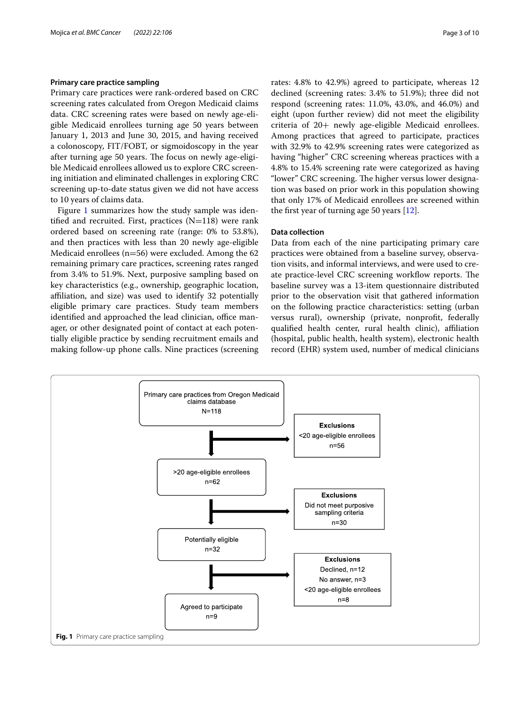# **Primary care practice sampling**

Primary care practices were rank-ordered based on CRC screening rates calculated from Oregon Medicaid claims data. CRC screening rates were based on newly age-eligible Medicaid enrollees turning age 50 years between January 1, 2013 and June 30, 2015, and having received a colonoscopy, FIT/FOBT, or sigmoidoscopy in the year after turning age 50 years. The focus on newly age-eligible Medicaid enrollees allowed us to explore CRC screening initiation and eliminated challenges in exploring CRC screening up-to-date status given we did not have access to 10 years of claims data.

Figure [1](#page-2-0) summarizes how the study sample was identified and recruited. First, practices  $(N=118)$  were rank ordered based on screening rate (range: 0% to 53.8%), and then practices with less than 20 newly age-eligible Medicaid enrollees (n=56) were excluded. Among the 62 remaining primary care practices, screening rates ranged from 3.4% to 51.9%. Next, purposive sampling based on key characteristics (e.g., ownership, geographic location, afliation, and size) was used to identify 32 potentially eligible primary care practices. Study team members identified and approached the lead clinician, office manager, or other designated point of contact at each potentially eligible practice by sending recruitment emails and making follow-up phone calls. Nine practices (screening rates: 4.8% to 42.9%) agreed to participate, whereas 12 declined (screening rates: 3.4% to 51.9%); three did not respond (screening rates: 11.0%, 43.0%, and 46.0%) and eight (upon further review) did not meet the eligibility criteria of 20+ newly age-eligible Medicaid enrollees. Among practices that agreed to participate, practices with 32.9% to 42.9% screening rates were categorized as having "higher" CRC screening whereas practices with a 4.8% to 15.4% screening rate were categorized as having "lower" CRC screening. The higher versus lower designation was based on prior work in this population showing that only 17% of Medicaid enrollees are screened within the frst year of turning age 50 years [[12\]](#page-8-9).

# **Data collection**

Data from each of the nine participating primary care practices were obtained from a baseline survey, observation visits, and informal interviews, and were used to create practice-level CRC screening workflow reports. The baseline survey was a 13-item questionnaire distributed prior to the observation visit that gathered information on the following practice characteristics: setting (urban versus rural), ownership (private, nonproft, federally qualifed health center, rural health clinic), afliation (hospital, public health, health system), electronic health record (EHR) system used, number of medical clinicians

<span id="page-2-0"></span>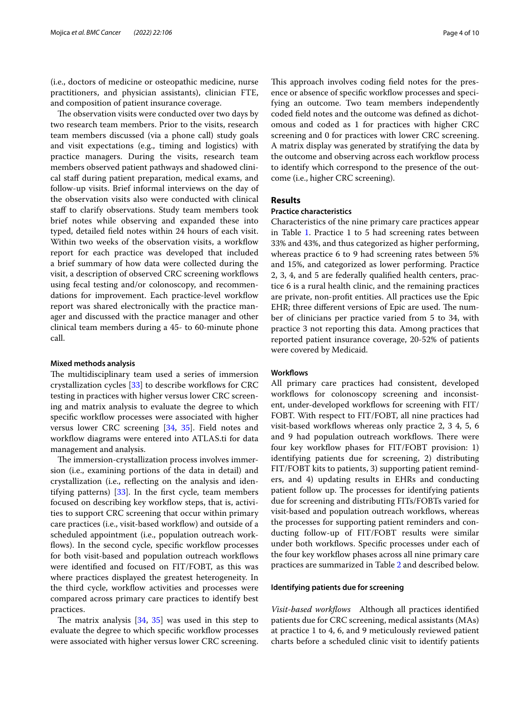(i.e., doctors of medicine or osteopathic medicine, nurse practitioners, and physician assistants), clinician FTE, and composition of patient insurance coverage.

The observation visits were conducted over two days by two research team members. Prior to the visits, research team members discussed (via a phone call) study goals and visit expectations (e.g., timing and logistics) with practice managers. During the visits, research team members observed patient pathways and shadowed clinical staf during patient preparation, medical exams, and follow-up visits. Brief informal interviews on the day of the observation visits also were conducted with clinical staf to clarify observations. Study team members took brief notes while observing and expanded these into typed, detailed feld notes within 24 hours of each visit. Within two weeks of the observation visits, a workflow report for each practice was developed that included a brief summary of how data were collected during the visit, a description of observed CRC screening workfows using fecal testing and/or colonoscopy, and recommendations for improvement. Each practice-level workflow report was shared electronically with the practice manager and discussed with the practice manager and other clinical team members during a 45- to 60-minute phone call.

# **Mixed methods analysis**

The multidisciplinary team used a series of immersion crystallization cycles  $[33]$  $[33]$  to describe workflows for CRC testing in practices with higher versus lower CRC screening and matrix analysis to evaluate the degree to which specific workflow processes were associated with higher versus lower CRC screening [[34,](#page-9-8) [35\]](#page-9-9). Field notes and workflow diagrams were entered into ATLAS.ti for data management and analysis.

The immersion-crystallization process involves immersion (i.e., examining portions of the data in detail) and crystallization (i.e., refecting on the analysis and identifying patterns)  $[33]$  $[33]$ . In the first cycle, team members focused on describing key workflow steps, that is, activities to support CRC screening that occur within primary care practices (i.e., visit-based workflow) and outside of a scheduled appointment (i.e., population outreach workflows). In the second cycle, specific workflow processes for both visit-based and population outreach workflows were identifed and focused on FIT/FOBT, as this was where practices displayed the greatest heterogeneity. In the third cycle, workflow activities and processes were compared across primary care practices to identify best practices.

The matrix analysis  $[34, 35]$  $[34, 35]$  $[34, 35]$  $[34, 35]$  was used in this step to evaluate the degree to which specific workflow processes were associated with higher versus lower CRC screening.

This approach involves coding field notes for the presence or absence of specific workflow processes and specifying an outcome. Two team members independently coded feld notes and the outcome was defned as dichotomous and coded as 1 for practices with higher CRC screening and 0 for practices with lower CRC screening. A matrix display was generated by stratifying the data by the outcome and observing across each workflow process to identify which correspond to the presence of the outcome (i.e., higher CRC screening).

# **Results**

# **Practice characteristics**

Characteristics of the nine primary care practices appear in Table [1](#page-4-0). Practice 1 to 5 had screening rates between 33% and 43%, and thus categorized as higher performing, whereas practice 6 to 9 had screening rates between 5% and 15%, and categorized as lower performing. Practice 2, 3, 4, and 5 are federally qualifed health centers, practice 6 is a rural health clinic, and the remaining practices are private, non-proft entities. All practices use the Epic EHR; three different versions of Epic are used. The number of clinicians per practice varied from 5 to 34, with practice 3 not reporting this data. Among practices that reported patient insurance coverage, 20-52% of patients were covered by Medicaid.

# **Workfows**

All primary care practices had consistent, developed workflows for colonoscopy screening and inconsistent, under-developed workflows for screening with FIT/ FOBT. With respect to FIT/FOBT, all nine practices had visit-based workflows whereas only practice 2, 3 4, 5, 6 and 9 had population outreach workflows. There were four key workflow phases for FIT/FOBT provision: 1) identifying patients due for screening, 2) distributing FIT/FOBT kits to patients, 3) supporting patient reminders, and 4) updating results in EHRs and conducting patient follow up. The processes for identifying patients due for screening and distributing FITs/FOBTs varied for visit-based and population outreach workflows, whereas the processes for supporting patient reminders and conducting follow-up of FIT/FOBT results were similar under both workfows. Specifc processes under each of the four key workfow phases across all nine primary care practices are summarized in Table [2](#page-5-0) and described below.

# **Identifying patients due for screening**

*Visit‑based workfows* Although all practices identifed patients due for CRC screening, medical assistants (MAs) at practice 1 to 4, 6, and 9 meticulously reviewed patient charts before a scheduled clinic visit to identify patients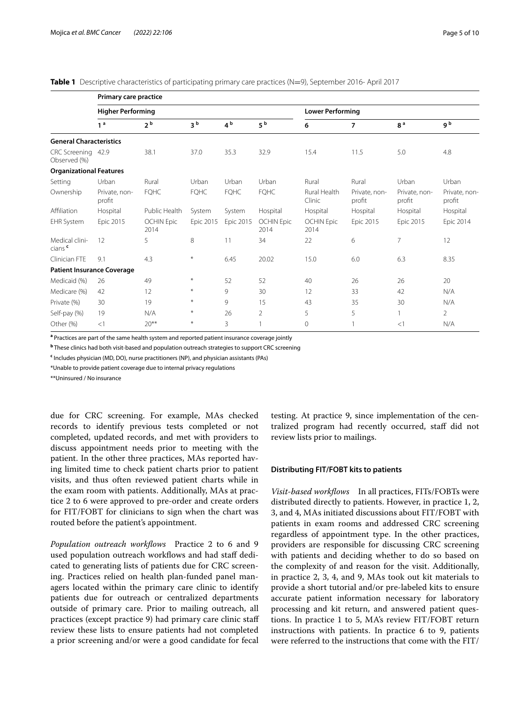<span id="page-4-0"></span>**Table 1** Descriptive characteristics of participating primary care practices (N=9), September 2016- April 2017

|                                      | Primary care practice    |                           |                  |                |                           |                         |                         |                         |                         |  |  |  |
|--------------------------------------|--------------------------|---------------------------|------------------|----------------|---------------------------|-------------------------|-------------------------|-------------------------|-------------------------|--|--|--|
|                                      | <b>Higher Performing</b> |                           |                  |                |                           | <b>Lower Performing</b> |                         |                         |                         |  |  |  |
|                                      | 1 <sup>a</sup>           | 2 <sup>b</sup>            | 3 <sup>b</sup>   | 4 <sup>b</sup> | 5 <sup>b</sup>            | 6                       | $\overline{7}$          | 8 <sup>a</sup>          | g b                     |  |  |  |
| <b>General Characteristics</b>       |                          |                           |                  |                |                           |                         |                         |                         |                         |  |  |  |
| CRC Screening 42.9<br>Observed (%)   |                          | 38.1                      | 37.0             | 35.3           | 32.9                      | 15.4                    | 11.5                    | 5.0                     | 4.8                     |  |  |  |
| <b>Organizational Features</b>       |                          |                           |                  |                |                           |                         |                         |                         |                         |  |  |  |
| Setting                              | Urban                    | Rural                     | Urban            | Urban          | Urban                     | Rural                   | Rural                   | Urban                   | Urban                   |  |  |  |
| Ownership                            | Private, non-<br>profit  | <b>FOHC</b>               | <b>FQHC</b>      | <b>FQHC</b>    | <b>FQHC</b>               | Rural Health<br>Clinic  | Private, non-<br>profit | Private, non-<br>profit | Private, non-<br>profit |  |  |  |
| Affiliation                          | Hospital                 | Public Health             | System           | System         | Hospital                  | Hospital                | Hospital                | Hospital                | Hospital                |  |  |  |
| <b>EHR System</b>                    | Epic 2015                | <b>OCHIN Epic</b><br>2014 | Epic 2015        | Epic 2015      | <b>OCHIN Epic</b><br>2014 | OCHIN Epic<br>2014      | Epic 2015               | <b>Epic 2015</b>        | <b>Epic 2014</b>        |  |  |  |
| Medical clini-<br>cians <sup>c</sup> | 12                       | 5                         | 8                | 11             | 34                        | 22                      | 6                       | $\overline{7}$          | 12                      |  |  |  |
| Clinician FTE                        | 9.1                      | 4.3                       | $\ast$           | 6.45           | 20.02                     | 15.0                    | 6.0                     | 6.3                     | 8.35                    |  |  |  |
| <b>Patient Insurance Coverage</b>    |                          |                           |                  |                |                           |                         |                         |                         |                         |  |  |  |
| Medicaid (%)                         | 26                       | 49                        | $\ast$           | 52             | 52                        | 40                      | 26                      | 26                      | 20                      |  |  |  |
| Medicare (%)                         | 42                       | 12                        | $\ast$           | 9              | 30                        | 12                      | 33                      | 42                      | N/A                     |  |  |  |
| Private (%)                          | 30                       | 19                        | $\divideontimes$ | 9              | 15                        | 43                      | 35                      | 30                      | N/A                     |  |  |  |
| Self-pay (%)                         | 19                       | N/A                       | $\ast$           | 26             | $\overline{2}$            | 5                       | 5                       |                         | $\overline{2}$          |  |  |  |
| Other (%)                            | <1                       | $20**$                    | $\ast$           | 3              |                           | $\mathbf 0$             |                         | $\lt$ 1                 | N/A                     |  |  |  |

**a** Practices are part of the same health system and reported patient insurance coverage jointly

**<sup>b</sup>** These clinics had both visit-based and population outreach strategies to support CRC screening

**c** Includes physician (MD, DO), nurse practitioners (NP), and physician assistants (PAs)

\*Unable to provide patient coverage due to internal privacy regulations

\*\*Uninsured / No insurance

due for CRC screening. For example, MAs checked records to identify previous tests completed or not completed, updated records, and met with providers to discuss appointment needs prior to meeting with the patient. In the other three practices, MAs reported having limited time to check patient charts prior to patient visits, and thus often reviewed patient charts while in the exam room with patients. Additionally, MAs at practice 2 to 6 were approved to pre-order and create orders for FIT/FOBT for clinicians to sign when the chart was routed before the patient's appointment.

*Population outreach workfows* Practice 2 to 6 and 9 used population outreach workflows and had staff dedicated to generating lists of patients due for CRC screening. Practices relied on health plan-funded panel managers located within the primary care clinic to identify patients due for outreach or centralized departments outside of primary care. Prior to mailing outreach, all practices (except practice 9) had primary care clinic staf review these lists to ensure patients had not completed a prior screening and/or were a good candidate for fecal testing. At practice 9, since implementation of the centralized program had recently occurred, staf did not review lists prior to mailings.

# **Distributing FIT/FOBT kits to patients**

*Visit‑based workfows* In all practices, FITs/FOBTs were distributed directly to patients. However, in practice 1, 2, 3, and 4, MAs initiated discussions about FIT/FOBT with patients in exam rooms and addressed CRC screening regardless of appointment type. In the other practices, providers are responsible for discussing CRC screening with patients and deciding whether to do so based on the complexity of and reason for the visit. Additionally, in practice 2, 3, 4, and 9, MAs took out kit materials to provide a short tutorial and/or pre-labeled kits to ensure accurate patient information necessary for laboratory processing and kit return, and answered patient questions. In practice 1 to 5, MA's review FIT/FOBT return instructions with patients. In practice 6 to 9, patients were referred to the instructions that come with the FIT/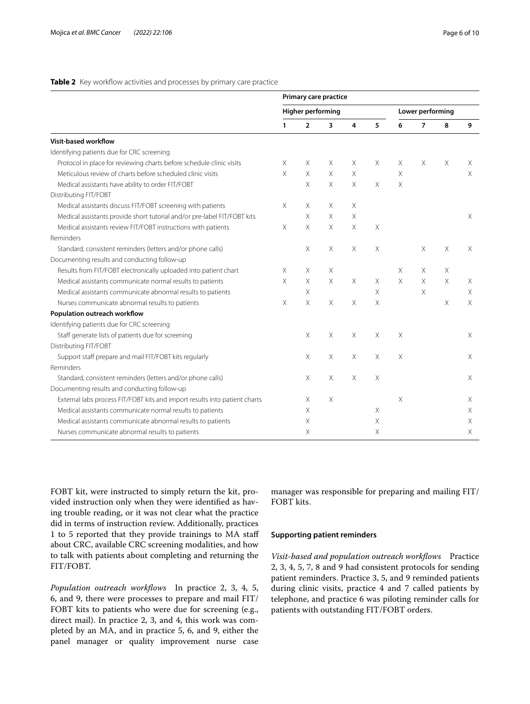# <span id="page-5-0"></span>**Table 2** Key workflow activities and processes by primary care practice

|                                                                            | Primary care practice    |                |          |          |          |                  |                |          |   |
|----------------------------------------------------------------------------|--------------------------|----------------|----------|----------|----------|------------------|----------------|----------|---|
|                                                                            | <b>Higher performing</b> |                |          |          |          | Lower performing |                |          |   |
|                                                                            | 1                        | $\overline{2}$ | 3        | 4        | 5        | 6                | $\overline{7}$ | 8        | 9 |
| Visit-based workflow                                                       |                          |                |          |          |          |                  |                |          |   |
| Identifying patients due for CRC screening                                 |                          |                |          |          |          |                  |                |          |   |
| Protocol in place for reviewing charts before schedule clinic visits       | Χ                        | Χ              | X        | X.       | Χ        | Χ                | X              | X        | Х |
| Meticulous review of charts before scheduled clinic visits                 | $\times$                 | X              | $\times$ | X        |          | $\times$         |                |          | X |
| Medical assistants have ability to order FIT/FOBT                          |                          | X              | $\times$ | $\times$ | X        | $\times$         |                |          |   |
| Distributing FIT/FOBT                                                      |                          |                |          |          |          |                  |                |          |   |
| Medical assistants discuss FIT/FOBT screening with patients                | X                        | X              | X        | X        |          |                  |                |          |   |
| Medical assistants provide short tutorial and/or pre-label FIT/FOBT kits   |                          | X              | X        | X        |          |                  |                |          | Χ |
| Medical assistants review FIT/FOBT instructions with patients              | X                        | X              | X.       | $\times$ | Χ        |                  |                |          |   |
| Reminders                                                                  |                          |                |          |          |          |                  |                |          |   |
| Standard, consistent reminders (letters and/or phone calls)                |                          | X              | X.       | X        | $\times$ |                  | Χ              | X        | Χ |
| Documenting results and conducting follow-up                               |                          |                |          |          |          |                  |                |          |   |
| Results from FIT/FOBT electronically uploaded into patient chart           | X                        | X              | Χ        |          |          | X                | Χ              | X        |   |
| Medical assistants communicate normal results to patients                  | X                        | X              | $\times$ | $\times$ | $\times$ | $\times$         | $\times$       | $\times$ | X |
| Medical assistants communicate abnormal results to patients                |                          | Χ              |          |          | $\times$ |                  | X              |          | Χ |
| Nurses communicate abnormal results to patients                            | $\times$                 | X              | X        | X        | X        |                  |                | X        | X |
| Population outreach workflow                                               |                          |                |          |          |          |                  |                |          |   |
| Identifying patients due for CRC screening                                 |                          |                |          |          |          |                  |                |          |   |
| Staff generate lists of patients due for screening                         |                          | $\times$       | $\times$ | $\times$ | X        | X                |                |          | X |
| Distributing FIT/FOBT                                                      |                          |                |          |          |          |                  |                |          |   |
| Support staff prepare and mail FIT/FOBT kits regularly                     |                          | Χ              | X.       | $\times$ | $\times$ | X                |                |          | X |
| Reminders                                                                  |                          |                |          |          |          |                  |                |          |   |
| Standard, consistent reminders (letters and/or phone calls)                |                          | Χ              | X        | X        | X        |                  |                |          | Χ |
| Documenting results and conducting follow-up                               |                          |                |          |          |          |                  |                |          |   |
| External labs process FIT/FOBT kits and import results into patient charts |                          | X.             | X        |          |          | X                |                |          | X |
| Medical assistants communicate normal results to patients                  |                          | X.             |          |          | Χ        |                  |                |          | Χ |
| Medical assistants communicate abnormal results to patients                |                          | Χ              |          |          | Χ        |                  |                |          | X |
| Nurses communicate abnormal results to patients                            |                          | X              |          |          | $\times$ |                  |                |          | X |

FOBT kit, were instructed to simply return the kit, provided instruction only when they were identifed as having trouble reading, or it was not clear what the practice did in terms of instruction review. Additionally, practices 1 to 5 reported that they provide trainings to MA staf about CRC, available CRC screening modalities, and how to talk with patients about completing and returning the FIT/FOBT.

*Population outreach workfows* In practice 2, 3, 4, 5, 6, and 9, there were processes to prepare and mail FIT/ FOBT kits to patients who were due for screening (e.g., direct mail). In practice 2, 3, and 4, this work was completed by an MA, and in practice 5, 6, and 9, either the panel manager or quality improvement nurse case manager was responsible for preparing and mailing FIT/ FOBT kits.

#### **Supporting patient reminders**

*Visit‑based and population outreach workfows* Practice 2, 3, 4, 5, 7, 8 and 9 had consistent protocols for sending patient reminders. Practice 3, 5, and 9 reminded patients during clinic visits, practice 4 and 7 called patients by telephone, and practice 6 was piloting reminder calls for patients with outstanding FIT/FOBT orders.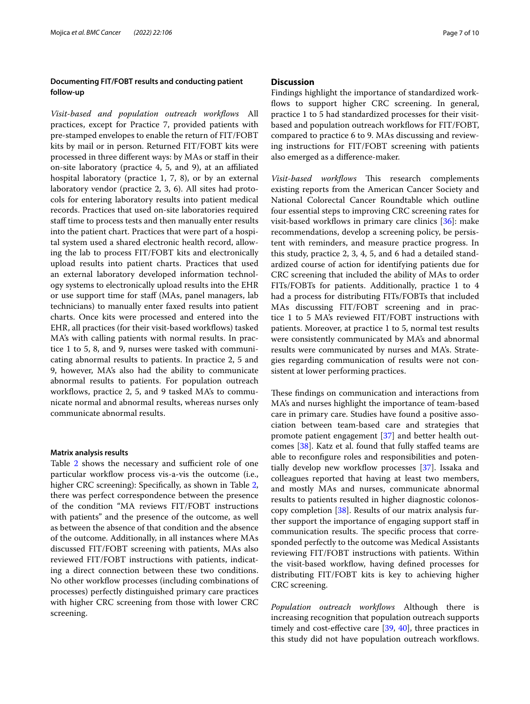# **Documenting FIT/FOBT results and conducting patient follow-up**

*Visit‑based and population outreach workfows* All practices, except for Practice 7, provided patients with pre-stamped envelopes to enable the return of FIT/FOBT kits by mail or in person. Returned FIT/FOBT kits were processed in three diferent ways: by MAs or staf in their on-site laboratory (practice 4, 5, and 9), at an afliated hospital laboratory (practice 1, 7, 8), or by an external laboratory vendor (practice 2, 3, 6). All sites had protocols for entering laboratory results into patient medical records. Practices that used on-site laboratories required staff time to process tests and then manually enter results into the patient chart. Practices that were part of a hospital system used a shared electronic health record, allowing the lab to process FIT/FOBT kits and electronically upload results into patient charts. Practices that used an external laboratory developed information technology systems to electronically upload results into the EHR or use support time for staff (MAs, panel managers, lab technicians) to manually enter faxed results into patient charts. Once kits were processed and entered into the EHR, all practices (for their visit-based workfows) tasked MA's with calling patients with normal results. In practice 1 to 5, 8, and 9, nurses were tasked with communicating abnormal results to patients. In practice 2, 5 and 9, however, MA's also had the ability to communicate abnormal results to patients. For population outreach workflows, practice 2, 5, and 9 tasked MA's to communicate normal and abnormal results, whereas nurses only communicate abnormal results.

# **Matrix analysis results**

Table [2](#page-5-0) shows the necessary and sufficient role of one particular workflow process vis-a-vis the outcome (i.e., higher CRC screening): Specifically, as shown in Table [2](#page-5-0), there was perfect correspondence between the presence of the condition "MA reviews FIT/FOBT instructions with patients" and the presence of the outcome, as well as between the absence of that condition and the absence of the outcome. Additionally, in all instances where MAs discussed FIT/FOBT screening with patients, MAs also reviewed FIT/FOBT instructions with patients, indicating a direct connection between these two conditions. No other workflow processes (including combinations of processes) perfectly distinguished primary care practices with higher CRC screening from those with lower CRC screening.

# **Discussion**

Findings highlight the importance of standardized workflows to support higher CRC screening. In general, practice 1 to 5 had standardized processes for their visitbased and population outreach workflows for FIT/FOBT, compared to practice 6 to 9. MAs discussing and reviewing instructions for FIT/FOBT screening with patients also emerged as a diference-maker.

*Visit-based workflows* This research complements existing reports from the American Cancer Society and National Colorectal Cancer Roundtable which outline four essential steps to improving CRC screening rates for visit-based workflows in primary care clinics  $[36]$  $[36]$ : make recommendations, develop a screening policy, be persistent with reminders, and measure practice progress. In this study, practice 2, 3, 4, 5, and 6 had a detailed standardized course of action for identifying patients due for CRC screening that included the ability of MAs to order FITs/FOBTs for patients. Additionally, practice 1 to 4 had a process for distributing FITs/FOBTs that included MAs discussing FIT/FOBT screening and in practice 1 to 5 MA's reviewed FIT/FOBT instructions with patients. Moreover, at practice 1 to 5, normal test results were consistently communicated by MA's and abnormal results were communicated by nurses and MA's. Strategies regarding communication of results were not consistent at lower performing practices.

These findings on communication and interactions from MA's and nurses highlight the importance of team-based care in primary care. Studies have found a positive association between team-based care and strategies that promote patient engagement [[37\]](#page-9-11) and better health outcomes [\[38\]](#page-9-12). Katz et al. found that fully stafed teams are able to reconfgure roles and responsibilities and poten-tially develop new workflow processes [[37\]](#page-9-11). Issaka and colleagues reported that having at least two members, and mostly MAs and nurses, communicate abnormal results to patients resulted in higher diagnostic colonoscopy completion [[38](#page-9-12)]. Results of our matrix analysis further support the importance of engaging support staf in communication results. The specific process that corresponded perfectly to the outcome was Medical Assistants reviewing FIT/FOBT instructions with patients. Within the visit-based workflow, having defined processes for distributing FIT/FOBT kits is key to achieving higher CRC screening.

*Population outreach workfows* Although there is increasing recognition that population outreach supports timely and cost-efective care [[39](#page-9-13), [40\]](#page-9-14), three practices in this study did not have population outreach workflows.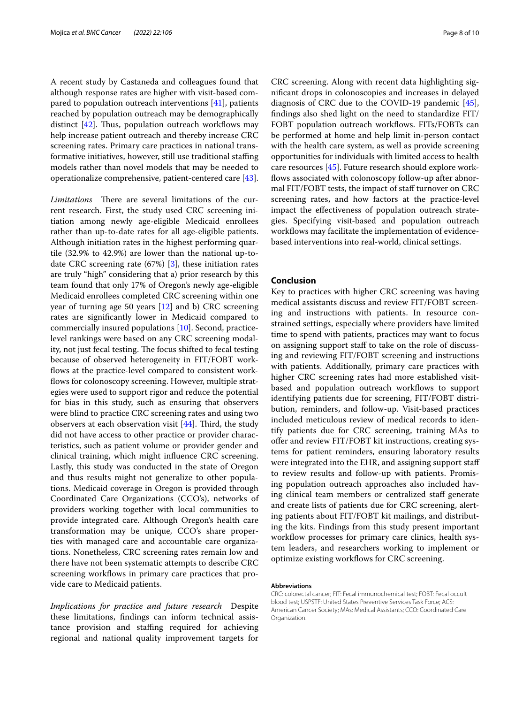A recent study by Castaneda and colleagues found that although response rates are higher with visit-based compared to population outreach interventions [\[41\]](#page-9-15), patients reached by population outreach may be demographically distinct  $[42]$  $[42]$ . Thus, population outreach workflows may help increase patient outreach and thereby increase CRC screening rates. Primary care practices in national transformative initiatives, however, still use traditional staffing models rather than novel models that may be needed to operationalize comprehensive, patient-centered care [\[43](#page-9-17)].

*Limitations* There are several limitations of the current research. First, the study used CRC screening initiation among newly age-eligible Medicaid enrollees rather than up-to-date rates for all age-eligible patients. Although initiation rates in the highest performing quartile (32.9% to 42.9%) are lower than the national up-todate CRC screening rate (67%) [[3\]](#page-8-2), these initiation rates are truly "high" considering that a) prior research by this team found that only 17% of Oregon's newly age-eligible Medicaid enrollees completed CRC screening within one year of turning age 50 years [\[12\]](#page-8-9) and b) CRC screening rates are signifcantly lower in Medicaid compared to commercially insured populations [[10\]](#page-8-7). Second, practicelevel rankings were based on any CRC screening modality, not just fecal testing. The focus shifted to fecal testing because of observed heterogeneity in FIT/FOBT workflows at the practice-level compared to consistent workflows for colonoscopy screening. However, multiple strategies were used to support rigor and reduce the potential for bias in this study, such as ensuring that observers were blind to practice CRC screening rates and using two observers at each observation visit  $[44]$  $[44]$ . Third, the study did not have access to other practice or provider characteristics, such as patient volume or provider gender and clinical training, which might infuence CRC screening. Lastly, this study was conducted in the state of Oregon and thus results might not generalize to other populations. Medicaid coverage in Oregon is provided through Coordinated Care Organizations (CCO's), networks of providers working together with local communities to provide integrated care. Although Oregon's health care transformation may be unique, CCO's share properties with managed care and accountable care organizations. Nonetheless, CRC screening rates remain low and there have not been systematic attempts to describe CRC screening workflows in primary care practices that provide care to Medicaid patients.

*Implications for practice and future research* Despite these limitations, fndings can inform technical assistance provision and staffing required for achieving regional and national quality improvement targets for

CRC screening. Along with recent data highlighting signifcant drops in colonoscopies and increases in delayed diagnosis of CRC due to the COVID-19 pandemic [\[45](#page-9-19)], fndings also shed light on the need to standardize FIT/ FOBT population outreach workflows. FITs/FOBTs can be performed at home and help limit in-person contact with the health care system, as well as provide screening opportunities for individuals with limited access to health care resources [[45](#page-9-19)]. Future research should explore workflows associated with colonoscopy follow-up after abnormal FIT/FOBT tests, the impact of staff turnover on CRC screening rates, and how factors at the practice-level impact the efectiveness of population outreach strategies. Specifying visit-based and population outreach workflows may facilitate the implementation of evidencebased interventions into real-world, clinical settings.

# **Conclusion**

Key to practices with higher CRC screening was having medical assistants discuss and review FIT/FOBT screening and instructions with patients. In resource constrained settings, especially where providers have limited time to spend with patients, practices may want to focus on assigning support staff to take on the role of discussing and reviewing FIT/FOBT screening and instructions with patients. Additionally, primary care practices with higher CRC screening rates had more established visitbased and population outreach workflows to support identifying patients due for screening, FIT/FOBT distribution, reminders, and follow-up. Visit-based practices included meticulous review of medical records to identify patients due for CRC screening, training MAs to offer and review FIT/FOBT kit instructions, creating systems for patient reminders, ensuring laboratory results were integrated into the EHR, and assigning support staf to review results and follow-up with patients. Promising population outreach approaches also included having clinical team members or centralized staff generate and create lists of patients due for CRC screening, alerting patients about FIT/FOBT kit mailings, and distributing the kits. Findings from this study present important workflow processes for primary care clinics, health system leaders, and researchers working to implement or optimize existing workflows for CRC screening.

#### **Abbreviations**

CRC: colorectal cancer; FIT: Fecal immunochemical test; FOBT: Fecal occult blood test; USPSTF: United States Preventive Services Task Force; ACS: American Cancer Society; MAs: Medical Assistants; CCO: Coordinated Care Organization.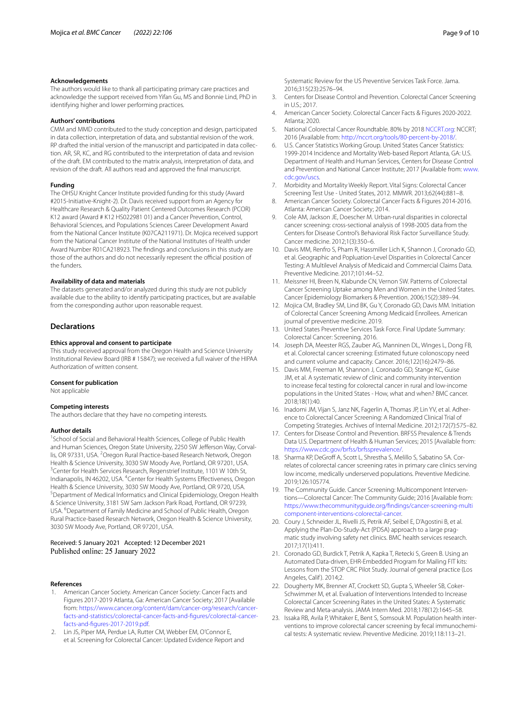#### **Acknowledgements**

The authors would like to thank all participating primary care practices and acknowledge the support received from Yifan Gu, MS and Bonnie Lind, PhD in identifying higher and lower performing practices.

#### **Authors' contributions**

CMM and MMD contributed to the study conception and design, participated in data collection, interpretation of data, and substantial revision of the work. RP drafted the initial version of the manuscript and participated in data collection. AR, SR, KC, and RG contributed to the interpretation of data and revision of the draft. EM contributed to the matrix analysis, interpretation of data, and revision of the draft. All authors read and approved the fnal manuscript.

#### **Funding**

The OHSU Knight Cancer Institute provided funding for this study (Award #2015-Initiative-Knight-2). Dr. Davis received support from an Agency for Healthcare Research & Quality Patient Centered Outcomes Research (PCOR) K12 award (Award # K12 HS022981 01) and a Cancer Prevention, Control, Behavioral Sciences, and Populations Sciences Career Development Award from the National Cancer Institute (K07CA211971). Dr. Mojica received support from the National Cancer Institute of the National Institutes of Health under Award Number R01CA218923. The fndings and conclusions in this study are those of the authors and do not necessarily represent the official position of the funders.

# **Availability of data and materials**

The datasets generated and/or analyzed during this study are not publicly available due to the ability to identify participating practices, but are available from the corresponding author upon reasonable request.

# **Declarations**

#### **Ethics approval and consent to participate**

This study received approval from the Oregon Health and Science University Institutional Review Board (IRB # 15847); we received a full waiver of the HIPAA Authorization of written consent.

#### **Consent for publication**

Not applicable

# **Competing interests**

The authors declare that they have no competing interests.

#### **Author details**

<sup>1</sup> School of Social and Behavioral Health Sciences, College of Public Health and Human Sciences, Oregon State University, 2250 SW Jefferson Way, Corvallis, OR 97331, USA. <sup>2</sup> Oregon Rural Practice-based Research Network, Oregon Health & Science University, 3030 SW Moody Ave, Portland, OR 97201, USA. <sup>3</sup> Center for Health Services Research, Regenstrief Institute, 1101 W 10th St, Indianapolis, IN 46202, USA. <sup>4</sup> Center for Health Systems Effectiveness, Oregon Health & Science University, 3030 SW Moody Ave, Portland, OR 9720, USA. <sup>5</sup>Department of Medical Informatics and Clinical Epidemiology, Oregon Health & Science University, 3181 SW Sam Jackson Park Road, Portland, OR 97239, USA. <sup>6</sup> Department of Family Medicine and School of Public Health, Oregon Rural Practice-based Research Network, Oregon Health & Science University, 3030 SW Moody Ave, Portland, OR 97201, USA.

# Received: 5 January 2021 Accepted: 12 December 2021 Published online: 25 January 2022

#### **References**

- <span id="page-8-0"></span>1. American Cancer Society. American Cancer Society: Cancer Facts and Figures 2017-2019 Atlanta, Ga: American Cancer Society; 2017 [Available from: [https://www.cancer.org/content/dam/cancer-org/research/cancer](https://www.cancer.org/content/dam/cancer-org/research/cancer-facts-and-statistics/colorectal-cancer-facts-and-figures/colorectal-cancer-facts-and-figures-2017-2019.pdf)[facts-and-statistics/colorectal-cancer-facts-and-fgures/colorectal-cancer](https://www.cancer.org/content/dam/cancer-org/research/cancer-facts-and-statistics/colorectal-cancer-facts-and-figures/colorectal-cancer-facts-and-figures-2017-2019.pdf)[facts-and-fgures-2017-2019.pdf.](https://www.cancer.org/content/dam/cancer-org/research/cancer-facts-and-statistics/colorectal-cancer-facts-and-figures/colorectal-cancer-facts-and-figures-2017-2019.pdf)
- <span id="page-8-1"></span>2. Lin JS, Piper MA, Perdue LA, Rutter CM, Webber EM, O'Connor E, et al. Screening for Colorectal Cancer: Updated Evidence Report and

Systematic Review for the US Preventive Services Task Force. Jama. 2016;315(23):2576–94.

- <span id="page-8-2"></span>3. Centers for Disease Control and Prevention. Colorectal Cancer Screening in U.S.; 2017.
- <span id="page-8-3"></span>4. American Cancer Society. Colorectal Cancer Facts & Figures 2020-2022. Atlanta; 2020.
- <span id="page-8-4"></span>5. National Colorectal Cancer Roundtable. 80% by 2018 [NCCRT.org](http://nccrt.org): NCCRT; 2016 [Available from: [http://nccrt.org/tools/80-percent-by-2018/.](http://nccrt.org/tools/80-percent-by-2018/)
- <span id="page-8-5"></span>6. U.S. Cancer Statistics Working Group. United States Cancer Statistics: 1999-2014 Incidence and Mortality Web-based Report Atlanta, GA: U.S. Department of Health and Human Services, Centers for Disease Control and Prevention and National Cancer Institute; 2017 [Available from: [www.](http://www.cdc.gov/uscs) [cdc.gov/uscs.](http://www.cdc.gov/uscs)
- <span id="page-8-6"></span>7. Morbidity and Mortality Weekly Report. Vital Signs: Colorectal Cancer Screening Test Use - United States, 2012. MMWR. 2013;62(44):881–8.
- 8. American Cancer Society. Colorectal Cancer Facts & Figures 2014-2016. Atlanta: American Cancer Society; 2014.
- 9. Cole AM, Jackson JE, Doescher M. Urban-rural disparities in colorectal cancer screening: cross-sectional analysis of 1998-2005 data from the Centers for Disease Control's Behavioral Risk Factor Surveillance Study. Cancer medicine. 2012;1(3):350–6.
- <span id="page-8-7"></span>10. Davis MM, Renfro S, Pham R, Hassmiller Lich K, Shannon J, Coronado GD, et al. Geographic and Popluation-Level Disparities in Colorectal Cancer Testing: A Multilevel Analysis of Medicaid and Commercial Claims Data. Preventive Medicine. 2017;101:44–52.
- <span id="page-8-8"></span>11. Meissner HI, Breen N, Klabunde CN, Vernon SW. Patterns of Colorectal Cancer Screening Uptake among Men and Women in the United States. Cancer Epidemiology Biomarkers & Prevention. 2006;15(2):389–94.
- <span id="page-8-9"></span>12. Mojica CM, Bradley SM, Lind BK, Gu Y, Coronado GD, Davis MM. Initiation of Colorectal Cancer Screening Among Medicaid Enrollees. American journal of preventive medicine. 2019.
- <span id="page-8-10"></span>13. United States Preventive Services Task Force. Final Update Summary: Colorectal Cancer: Screening. 2016.
- <span id="page-8-11"></span>14. Joseph DA, Meester RGS, Zauber AG, Manninen DL, Winges L, Dong FB, et al. Colorectal cancer screening: Estimated future colonoscopy need and current volume and capacity. Cancer. 2016;122(16):2479–86.
- <span id="page-8-12"></span>15. Davis MM, Freeman M, Shannon J, Coronado GD, Stange KC, Guise JM, et al. A systematic review of clinic and community intervention to increase fecal testing for colorectal cancer in rural and low-income populations in the United States - How, what and when? BMC cancer. 2018;18(1):40.
- <span id="page-8-13"></span>16. Inadomi JM, Vijan S, Janz NK, Fagerlin A, Thomas JP, Lin YV, et al. Adherence to Colorectal Cancer Screening: A Randomized Clinical Trial of Competing Strategies. Archives of Internal Medicine. 2012;172(7):575–82.
- <span id="page-8-14"></span>17. Centers for Disease Control and Prevention. BRFSS Prevalence & Trends Data U.S. Department of Health & Human Services; 2015 [Available from: [https://www.cdc.gov/brfss/brfssprevalence/.](https://www.cdc.gov/brfss/brfssprevalence/)
- <span id="page-8-15"></span>18. Sharma KP, DeGroff A, Scott L, Shrestha S, Melillo S, Sabatino SA. Correlates of colorectal cancer screening rates in primary care clinics serving low income, medically underserved populations. Preventive Medicine. 2019;126:105774.
- <span id="page-8-16"></span>19. The Community Guide. Cancer Screening: Multicomponent Interventions—Colorectal Cancer: The Community Guide; 2016 [Available from: [https://www.thecommunityguide.org/fndings/cancer-screening-multi](https://www.thecommunityguide.org/findings/cancer-screening-multicomponent-interventions-colorectal-cancer) [component-interventions-colorectal-cancer.](https://www.thecommunityguide.org/findings/cancer-screening-multicomponent-interventions-colorectal-cancer)
- <span id="page-8-17"></span>20. Coury J, Schneider JL, Rivelli JS, Petrik AF, Seibel E, D'Agostini B, et al. Applying the Plan-Do-Study-Act (PDSA) approach to a large pragmatic study involving safety net clinics. BMC health services research. 2017;17(1):411.
- 21. Coronado GD, Burdick T, Petrik A, Kapka T, Retecki S, Green B. Using an Automated Data-driven, EHR-Embedded Program for Mailing FIT kits: Lessons from the STOP CRC Pilot Study. Journal of general practice (Los Angeles, Calif). 2014:2.
- 22. Dougherty MK, Brenner AT, Crockett SD, Gupta S, Wheeler SB, Coker-Schwimmer M, et al. Evaluation of Interventions Intended to Increase Colorectal Cancer Screening Rates in the United States: A Systematic Review and Meta-analysis. JAMA Intern Med. 2018;178(12):1645–58.
- <span id="page-8-18"></span>23. Issaka RB, Avila P, Whitaker E, Bent S, Somsouk M. Population health interventions to improve colorectal cancer screening by fecal immunochemical tests: A systematic review. Preventive Medicine. 2019;118:113–21.